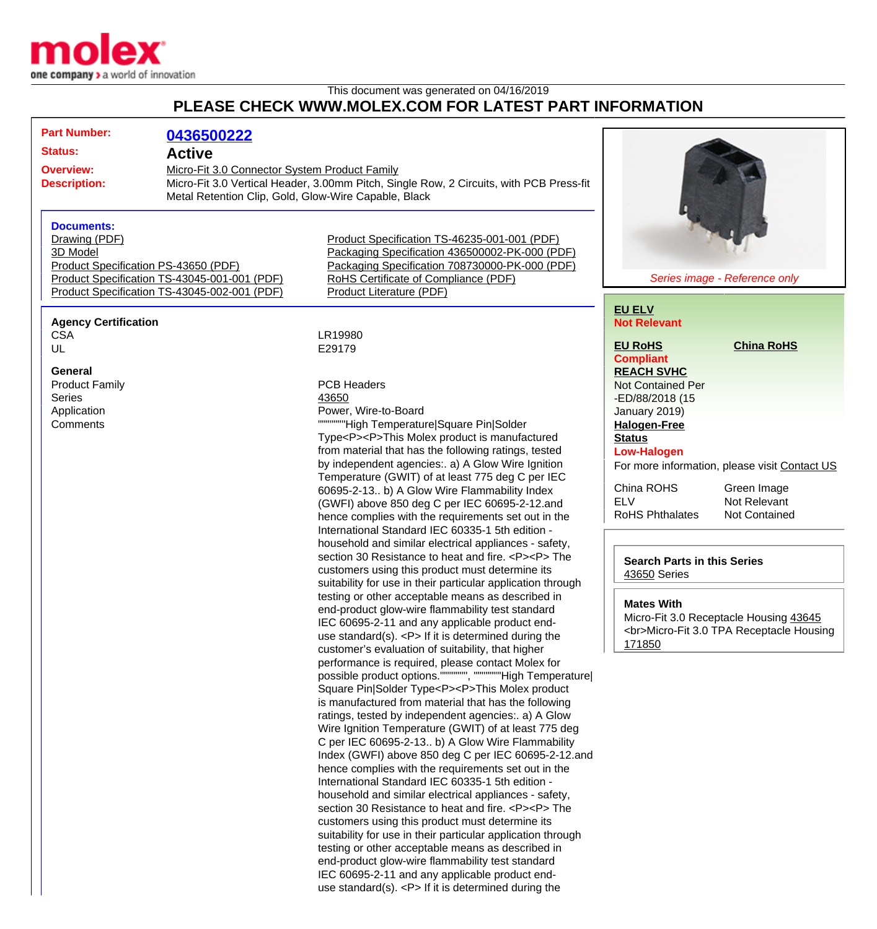

## This document was generated on 04/16/2019 **PLEASE CHECK WWW.MOLEX.COM FOR LATEST PART INFORMATION**

| <b>Part Number:</b>                                                                  | 0436500222                                                                                                                                      |                                                                                                                                                                               |                                                    |                                               |  |  |                                                   |                   |  |
|--------------------------------------------------------------------------------------|-------------------------------------------------------------------------------------------------------------------------------------------------|-------------------------------------------------------------------------------------------------------------------------------------------------------------------------------|----------------------------------------------------|-----------------------------------------------|--|--|---------------------------------------------------|-------------------|--|
| <b>Status:</b>                                                                       | <b>Active</b>                                                                                                                                   |                                                                                                                                                                               |                                                    |                                               |  |  |                                                   |                   |  |
| <b>Overview:</b>                                                                     | Micro-Fit 3.0 Connector System Product Family                                                                                                   |                                                                                                                                                                               |                                                    |                                               |  |  |                                                   |                   |  |
| <b>Description:</b>                                                                  |                                                                                                                                                 |                                                                                                                                                                               |                                                    |                                               |  |  |                                                   |                   |  |
|                                                                                      | Micro-Fit 3.0 Vertical Header, 3.00mm Pitch, Single Row, 2 Circuits, with PCB Press-fit<br>Metal Retention Clip, Gold, Glow-Wire Capable, Black |                                                                                                                                                                               |                                                    |                                               |  |  |                                                   |                   |  |
|                                                                                      |                                                                                                                                                 |                                                                                                                                                                               |                                                    |                                               |  |  |                                                   |                   |  |
| <b>Documents:</b>                                                                    |                                                                                                                                                 |                                                                                                                                                                               |                                                    |                                               |  |  |                                                   |                   |  |
| Drawing (PDF)                                                                        |                                                                                                                                                 | Product Specification TS-46235-001-001 (PDF)                                                                                                                                  |                                                    |                                               |  |  |                                                   |                   |  |
| 3D Model                                                                             |                                                                                                                                                 | Packaging Specification 436500002-PK-000 (PDF)                                                                                                                                |                                                    |                                               |  |  |                                                   |                   |  |
|                                                                                      |                                                                                                                                                 | Packaging Specification 708730000-PK-000 (PDF)                                                                                                                                |                                                    |                                               |  |  |                                                   |                   |  |
| Product Specification PS-43650 (PDF)<br>Product Specification TS-43045-001-001 (PDF) |                                                                                                                                                 | RoHS Certificate of Compliance (PDF)                                                                                                                                          | Series image - Reference only                      |                                               |  |  |                                                   |                   |  |
| Product Specification TS-43045-002-001 (PDF)                                         |                                                                                                                                                 | Product Literature (PDF)                                                                                                                                                      |                                                    |                                               |  |  |                                                   |                   |  |
|                                                                                      |                                                                                                                                                 |                                                                                                                                                                               | <b>EU ELV</b>                                      |                                               |  |  |                                                   |                   |  |
| <b>Agency Certification</b>                                                          |                                                                                                                                                 |                                                                                                                                                                               | <b>Not Relevant</b>                                |                                               |  |  |                                                   |                   |  |
| <b>CSA</b>                                                                           |                                                                                                                                                 | LR19980                                                                                                                                                                       |                                                    |                                               |  |  |                                                   |                   |  |
| UL                                                                                   |                                                                                                                                                 | E29179                                                                                                                                                                        | <b>EU RoHS</b>                                     | <b>China RoHS</b>                             |  |  |                                                   |                   |  |
|                                                                                      |                                                                                                                                                 |                                                                                                                                                                               | <b>Compliant</b>                                   |                                               |  |  |                                                   |                   |  |
| <b>General</b>                                                                       |                                                                                                                                                 |                                                                                                                                                                               | <b>REACH SVHC</b>                                  |                                               |  |  |                                                   |                   |  |
| <b>Product Family</b>                                                                |                                                                                                                                                 | <b>PCB Headers</b>                                                                                                                                                            | <b>Not Contained Per</b>                           |                                               |  |  |                                                   |                   |  |
| <b>Series</b>                                                                        |                                                                                                                                                 | 43650                                                                                                                                                                         | -ED/88/2018 (15                                    |                                               |  |  |                                                   |                   |  |
| Application                                                                          |                                                                                                                                                 | Power, Wire-to-Board                                                                                                                                                          | January 2019)                                      |                                               |  |  |                                                   |                   |  |
| Comments                                                                             |                                                                                                                                                 | """"""High Temperature Square Pin Solder                                                                                                                                      | <b>Halogen-Free</b>                                |                                               |  |  |                                                   |                   |  |
|                                                                                      |                                                                                                                                                 | Type <p><p>This Molex product is manufactured</p></p>                                                                                                                         | <b>Status</b>                                      |                                               |  |  |                                                   |                   |  |
|                                                                                      |                                                                                                                                                 | from material that has the following ratings, tested                                                                                                                          | <b>Low-Halogen</b>                                 |                                               |  |  |                                                   |                   |  |
|                                                                                      |                                                                                                                                                 | by independent agencies:. a) A Glow Wire Ignition                                                                                                                             |                                                    | For more information, please visit Contact US |  |  |                                                   |                   |  |
|                                                                                      |                                                                                                                                                 | Temperature (GWIT) of at least 775 deg C per IEC                                                                                                                              | China ROHS                                         |                                               |  |  |                                                   |                   |  |
|                                                                                      |                                                                                                                                                 | 60695-2-13 b) A Glow Wire Flammability Index                                                                                                                                  | <b>ELV</b>                                         | Green Image<br>Not Relevant                   |  |  |                                                   |                   |  |
|                                                                                      |                                                                                                                                                 | (GWFI) above 850 deg C per IEC 60695-2-12.and<br>hence complies with the requirements set out in the                                                                          | <b>RoHS Phthalates</b>                             | Not Contained                                 |  |  |                                                   |                   |  |
|                                                                                      |                                                                                                                                                 | International Standard IEC 60335-1 5th edition -                                                                                                                              |                                                    |                                               |  |  |                                                   |                   |  |
|                                                                                      |                                                                                                                                                 | household and similar electrical appliances - safety,                                                                                                                         |                                                    |                                               |  |  |                                                   |                   |  |
|                                                                                      |                                                                                                                                                 | section 30 Resistance to heat and fire, <p><p>The<br/>customers using this product must determine its<br/>suitability for use in their particular application through</p></p> | <b>Search Parts in this Series</b><br>43650 Series |                                               |  |  |                                                   |                   |  |
|                                                                                      |                                                                                                                                                 |                                                                                                                                                                               |                                                    |                                               |  |  | testing or other acceptable means as described in |                   |  |
|                                                                                      |                                                                                                                                                 |                                                                                                                                                                               |                                                    |                                               |  |  | end-product glow-wire flammability test standard  | <b>Mates With</b> |  |
| IEC 60695-2-11 and any applicable product end-                                       | Micro-Fit 3.0 Receptacle Housing 43645<br><br>Micro-Fit 3.0 TPA Receptacle Housing                                                              |                                                                                                                                                                               |                                                    |                                               |  |  |                                                   |                   |  |
| use standard(s). $< P$ If it is determined during the                                |                                                                                                                                                 |                                                                                                                                                                               |                                                    |                                               |  |  |                                                   |                   |  |
|                                                                                      |                                                                                                                                                 | customer's evaluation of suitability, that higher                                                                                                                             | 171850                                             |                                               |  |  |                                                   |                   |  |
|                                                                                      |                                                                                                                                                 | performance is required, please contact Molex for                                                                                                                             |                                                    |                                               |  |  |                                                   |                   |  |
|                                                                                      |                                                                                                                                                 | possible product options.""""""", """""""High Temperature                                                                                                                     |                                                    |                                               |  |  |                                                   |                   |  |
|                                                                                      |                                                                                                                                                 | Square Pin Solder Type <p><p>This Molex product</p></p>                                                                                                                       |                                                    |                                               |  |  |                                                   |                   |  |
|                                                                                      |                                                                                                                                                 | is manufactured from material that has the following                                                                                                                          |                                                    |                                               |  |  |                                                   |                   |  |
|                                                                                      |                                                                                                                                                 | ratings, tested by independent agencies:. a) A Glow                                                                                                                           |                                                    |                                               |  |  |                                                   |                   |  |
|                                                                                      |                                                                                                                                                 | Wire Ignition Temperature (GWIT) of at least 775 deg                                                                                                                          |                                                    |                                               |  |  |                                                   |                   |  |
|                                                                                      |                                                                                                                                                 | C per IEC 60695-2-13 b) A Glow Wire Flammability                                                                                                                              |                                                    |                                               |  |  |                                                   |                   |  |
|                                                                                      |                                                                                                                                                 | Index (GWFI) above 850 deg C per IEC 60695-2-12.and                                                                                                                           |                                                    |                                               |  |  |                                                   |                   |  |
|                                                                                      |                                                                                                                                                 | hence complies with the requirements set out in the                                                                                                                           |                                                    |                                               |  |  |                                                   |                   |  |
|                                                                                      |                                                                                                                                                 | International Standard IEC 60335-1 5th edition -                                                                                                                              |                                                    |                                               |  |  |                                                   |                   |  |
|                                                                                      |                                                                                                                                                 | household and similar electrical appliances - safety,                                                                                                                         |                                                    |                                               |  |  |                                                   |                   |  |
|                                                                                      |                                                                                                                                                 | section 30 Resistance to heat and fire. <p><p> The</p></p>                                                                                                                    |                                                    |                                               |  |  |                                                   |                   |  |
|                                                                                      |                                                                                                                                                 | customers using this product must determine its                                                                                                                               |                                                    |                                               |  |  |                                                   |                   |  |
|                                                                                      |                                                                                                                                                 | suitability for use in their particular application through                                                                                                                   |                                                    |                                               |  |  |                                                   |                   |  |
|                                                                                      |                                                                                                                                                 | testing or other acceptable means as described in                                                                                                                             |                                                    |                                               |  |  |                                                   |                   |  |
|                                                                                      |                                                                                                                                                 | end-product glow-wire flammability test standard<br>IEC 60695-2-11 and any applicable product end-                                                                            |                                                    |                                               |  |  |                                                   |                   |  |
|                                                                                      |                                                                                                                                                 |                                                                                                                                                                               |                                                    |                                               |  |  |                                                   |                   |  |
|                                                                                      |                                                                                                                                                 | use standard(s). $<$ P > If it is determined during the                                                                                                                       |                                                    |                                               |  |  |                                                   |                   |  |